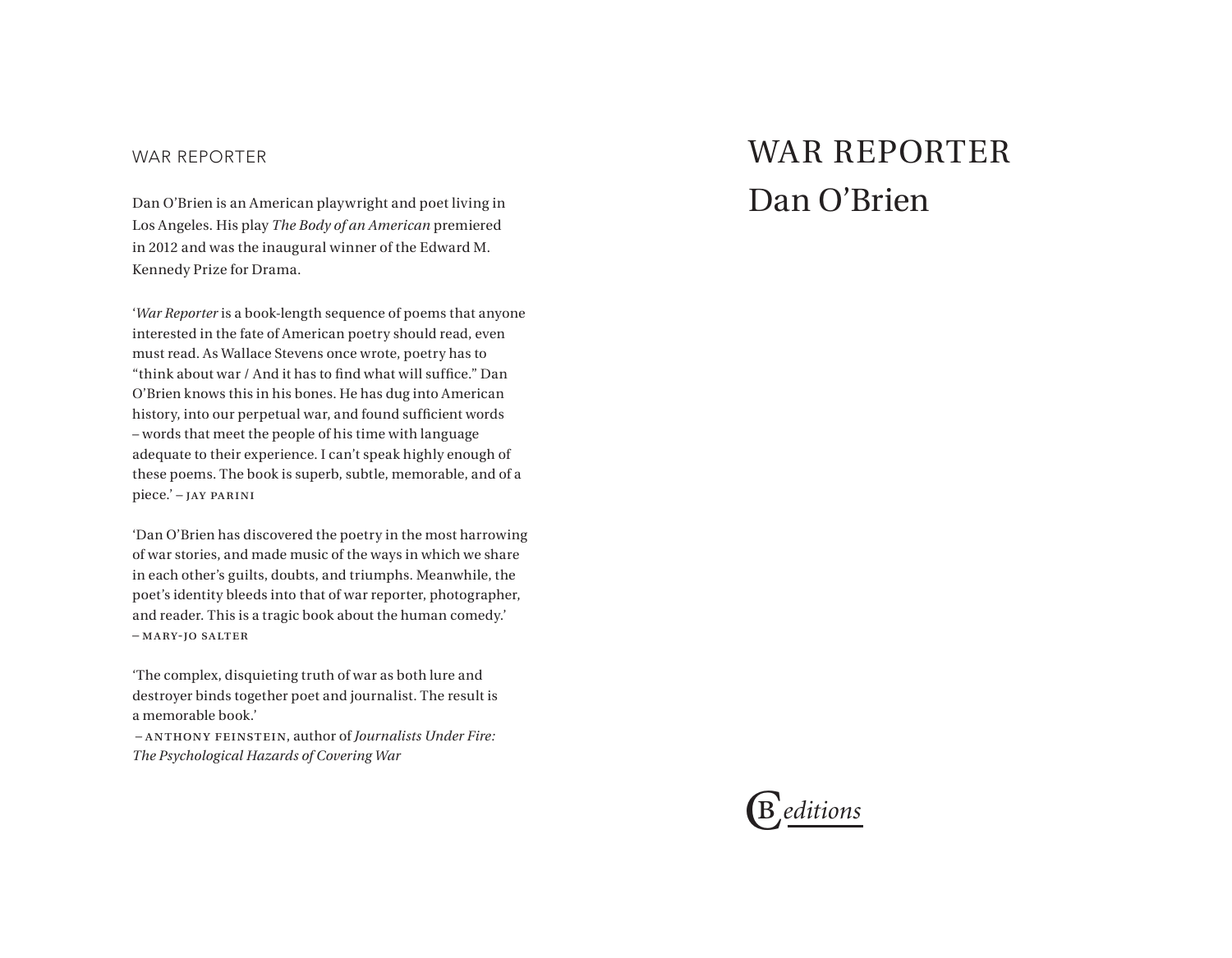## WAR REPORTER

Dan O'Brien is an American playwright and poet living in Los Angeles. His play *The Body of an American* premiered in 2012 and was the inaugural winner of the Edward M. Kennedy Prize for Drama.

'*War Reporter* is a book-length sequence of poems that anyone interested in the fate of American poetry should read, even must read. As Wallace Stevens once wrote, poetry has to "think about war / And it has to find what will suffice." Dan O'Brien knows this in his bones. He has dug into American history, into our perpetual war, and found sufficient words – words that meet the people of his time with language adequate to their experience. I can't speak highly enough of these poems. The book is superb, subtle, memorable, and of a piece.' – jay parini

'Dan O'Brien has discovered the poetry in the most harrowing of war stories, and made music of the ways in which we share in each other's guilts, doubts, and triumphs. Meanwhile, the poet's identity bleeds into that of war reporter, photographer, and reader. This is a tragic book about the human comedy.' – mary-jo salter

'The complex, disquieting truth of war as both lure and destroyer binds together poet and journalist. The result is a memorable book.'

 – anthony feinstein, author of *Journalists Under Fire: The Psychological Hazards of Covering War*

## WAR REPORTER Dan O'Brien

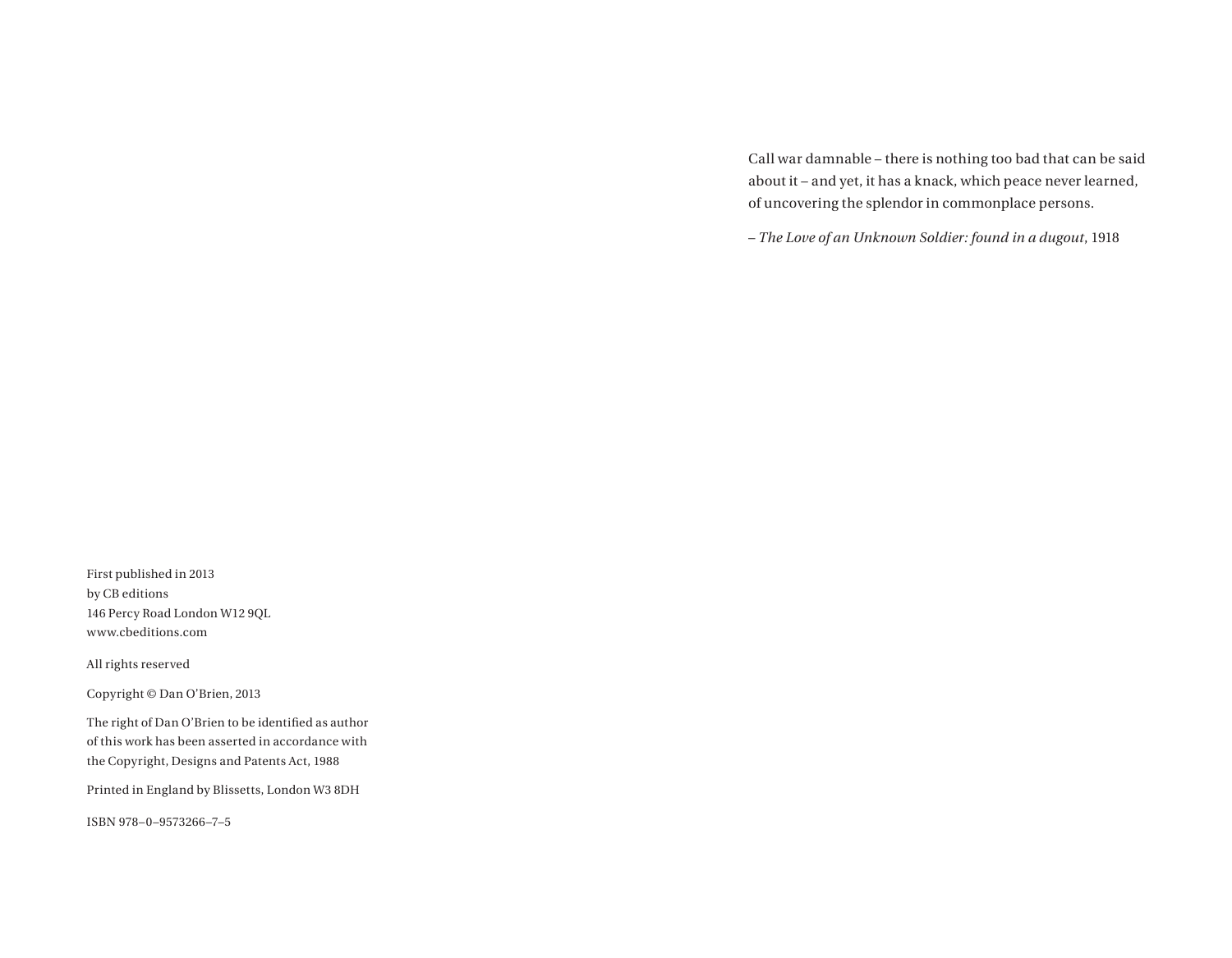Call war damnable – there is nothing too bad that can be said about it – and yet, it has a knack, which peace never learned, of uncovering the splendor in commonplace persons.

– *The Love of an Unknown Soldier: found in a dugout*, 1918

First published in 2013 by CB editions 146 Percy Road London W12 9QL www.cbeditions.com

All rights reserved

Copyright © Dan O'Brien, 2013

The right of Dan O'Brien to be identified as author of this work has been asserted in accordance with the Copyright, Designs and Patents Act, 1988

Printed in England by Blissetts, London W3 8DH

ISBN 978–0–9573266–7–5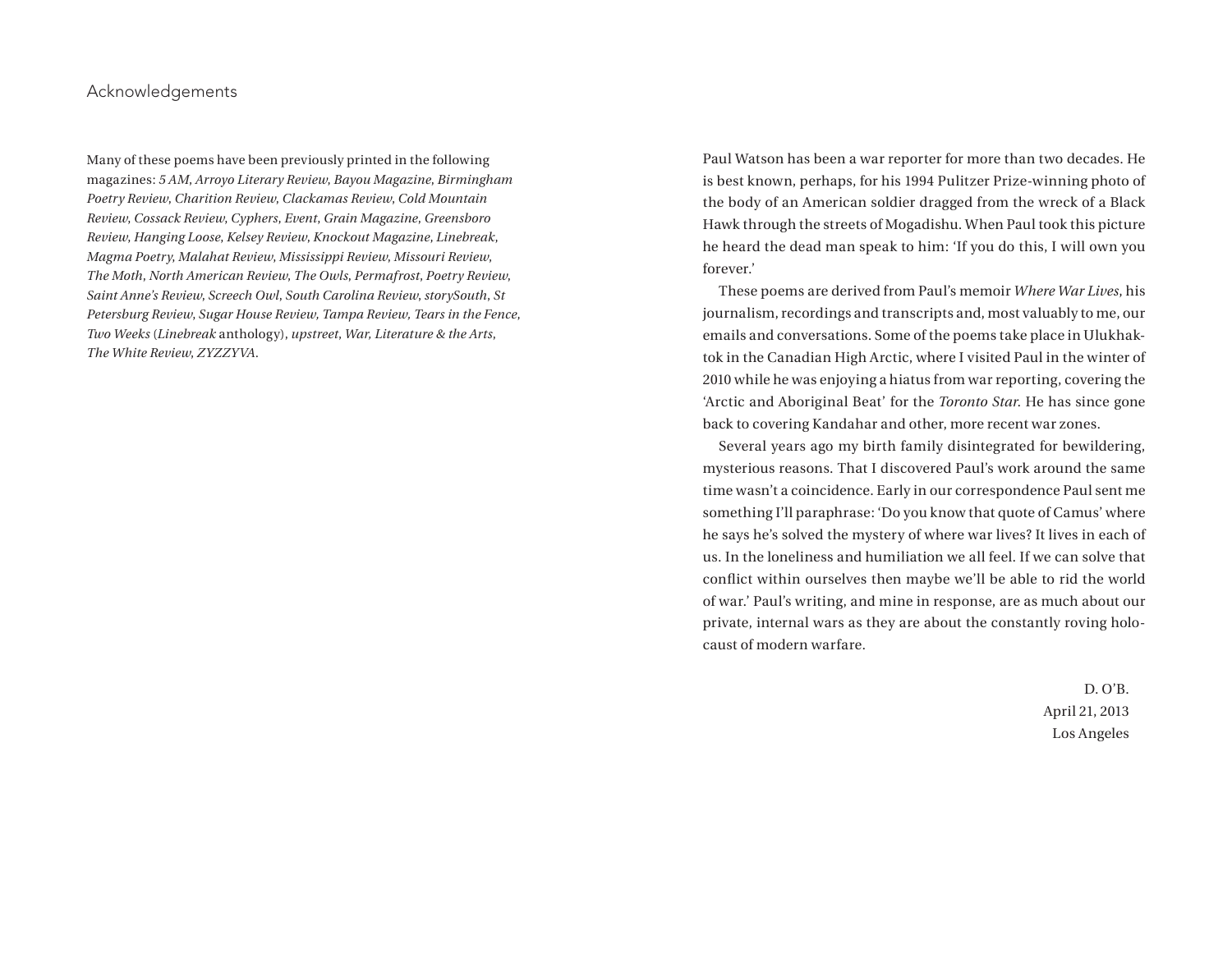## Acknowledgements

Many of these poems have been previously printed in the following magazines: *5 AM*, *Arroyo Literary Review*, *Bayou Magazine*, *Birmingham Poetry Review*, *Charition Review*, *Clackamas Review*, *Cold Mountain Review*, *Cossack Review*, *Cyphers*, *Event*, *Grain Magazine*, *Greensboro Review*, *Hanging Loose*, *Kelsey Review*, *Knockout Magazine*, *Linebreak*, *Magma Poetry*, *Malahat Review*, *Mississippi Review*, *Missouri Review*, *The Moth*, *North American Review*, *The Owls*, *Permafrost*, *Poetry Review*, *Saint Anne's Review*, *Screech Owl*, *South Carolina Review*, *storySouth*, *St Petersburg Review*, *Sugar House Review, Tampa Review, Tears in the Fence*, *Two Weeks* (*Linebreak* anthology), *upstreet*, *War, Literature & the Arts*, *The White Review*, *ZYZZYVA*.

Paul Watson has been a war reporter for more than two decades. He is best known, perhaps, for his 1994 Pulitzer Prize-winning photo of the body of an American soldier dragged from the wreck of a Black Hawk through the streets of Mogadishu. When Paul took this picture he heard the dead man speak to him: 'If you do this, I will own you forever.'

These poems are derived from Paul's memoir *Where War Lives*, his journalism, recordings and transcripts and, most valuably to me, our emails and conversations. Some of the poems take place in Ulukhaktok in the Canadian High Arctic, where I visited Paul in the winter of 2010 while he was enjoying a hiatus from war reporting, covering the 'Arctic and Aboriginal Beat' for the *Toronto Star*. He has since gone back to covering Kandahar and other, more recent war zones.

Several years ago my birth family disintegrated for bewildering, mysterious reasons. That I discovered Paul's work around the same time wasn't a coincidence. Early in our correspondence Paul sent me something I'll paraphrase: 'Do you know that quote of Camus' where he says he's solved the mystery of where war lives? It lives in each of us. In the loneliness and humiliation we all feel. If we can solve that conflict within ourselves then maybe we'll be able to rid the world of war.' Paul's writing, and mine in response, are as much about our private, internal wars as they are about the constantly roving holocaust of modern warfare.

> D. O'B. April 21, 2013 Los Angeles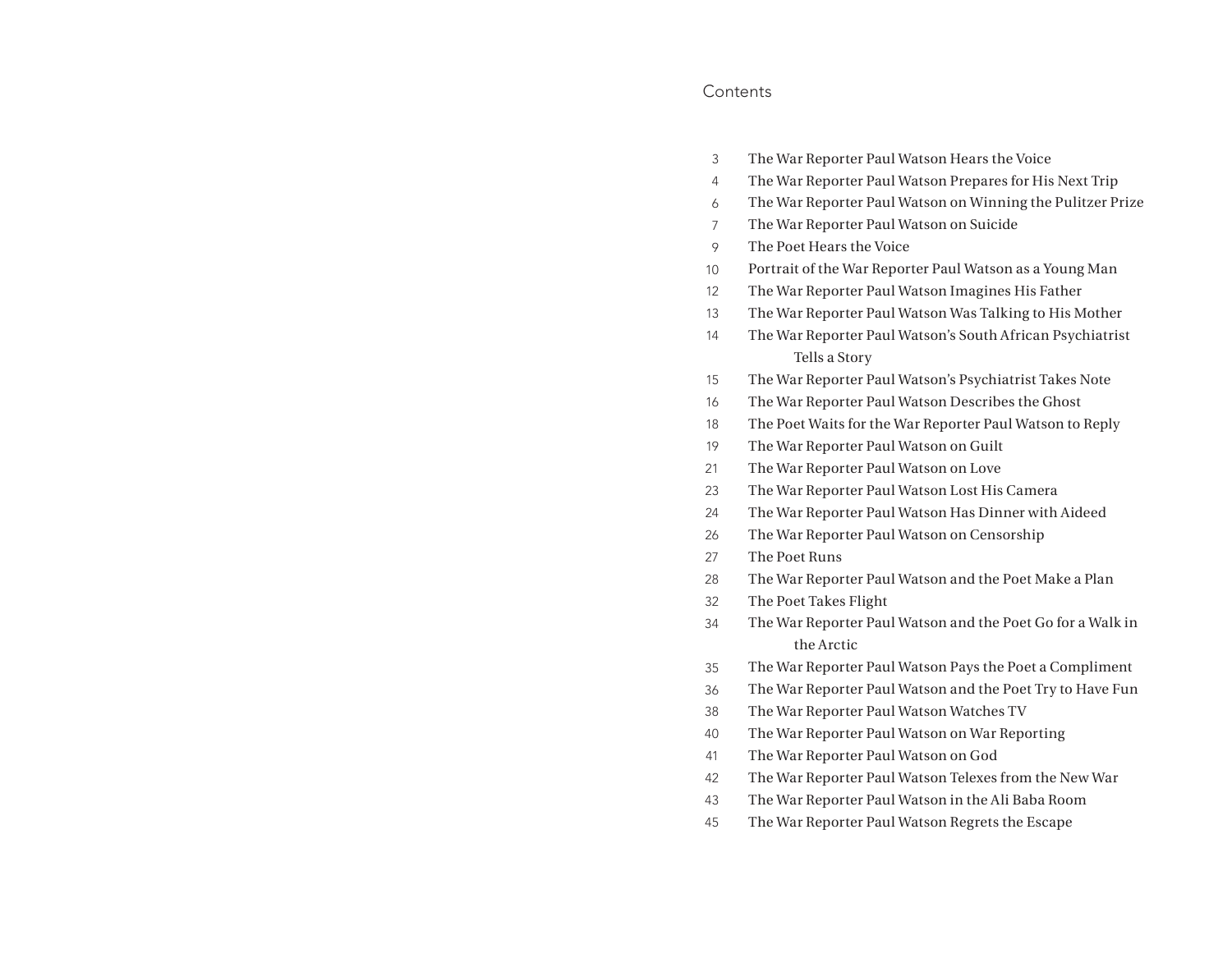## **Contents**

- The War Reporter Paul Watson Hears the Voice 3
- The War Reporter Paul Watson Prepares for His Next Trip 4
- The War Reporter Paul Watson on Winning the Pulitzer Prize 6
- The War Reporter Paul Watson on Suicide 7
- The Poet Hears the Voice 9
- Portrait of the War Reporter Paul Watson as a Young Man 10
- The War Reporter Paul Watson Imagines His Father 12
- The War Reporter Paul Watson Was Talking to His Mother 13
- The War Reporter Paul Watson's South African Psychiatrist Tells a Story 14
- The War Reporter Paul Watson's Psychiatrist Takes Note 15
- The War Reporter Paul Watson Describes the Ghost 16
- The Poet Waits for the War Reporter Paul Watson to Reply 18
- The War Reporter Paul Watson on Guilt 19
- The War Reporter Paul Watson on Love 21
- The War Reporter Paul Watson Lost His Camera 23
- The War Reporter Paul Watson Has Dinner with Aideed 24
- The War Reporter Paul Watson on Censorship 26
- The Poet Runs 27
- The War Reporter Paul Watson and the Poet Make a Plan 28
- The Poet Takes Flight 32
- The War Reporter Paul Watson and the Poet Go for a Walk in the Arctic 34
- The War Reporter Paul Watson Pays the Poet a Compliment 35
- The War Reporter Paul Watson and the Poet Try to Have Fun 36
- The War Reporter Paul Watson Watches TV 38
- The War Reporter Paul Watson on War Reporting 40
- The War Reporter Paul Watson on God 41
- The War Reporter Paul Watson Telexes from the New War 42
- The War Reporter Paul Watson in the Ali Baba Room 43
- The War Reporter Paul Watson Regrets the Escape 45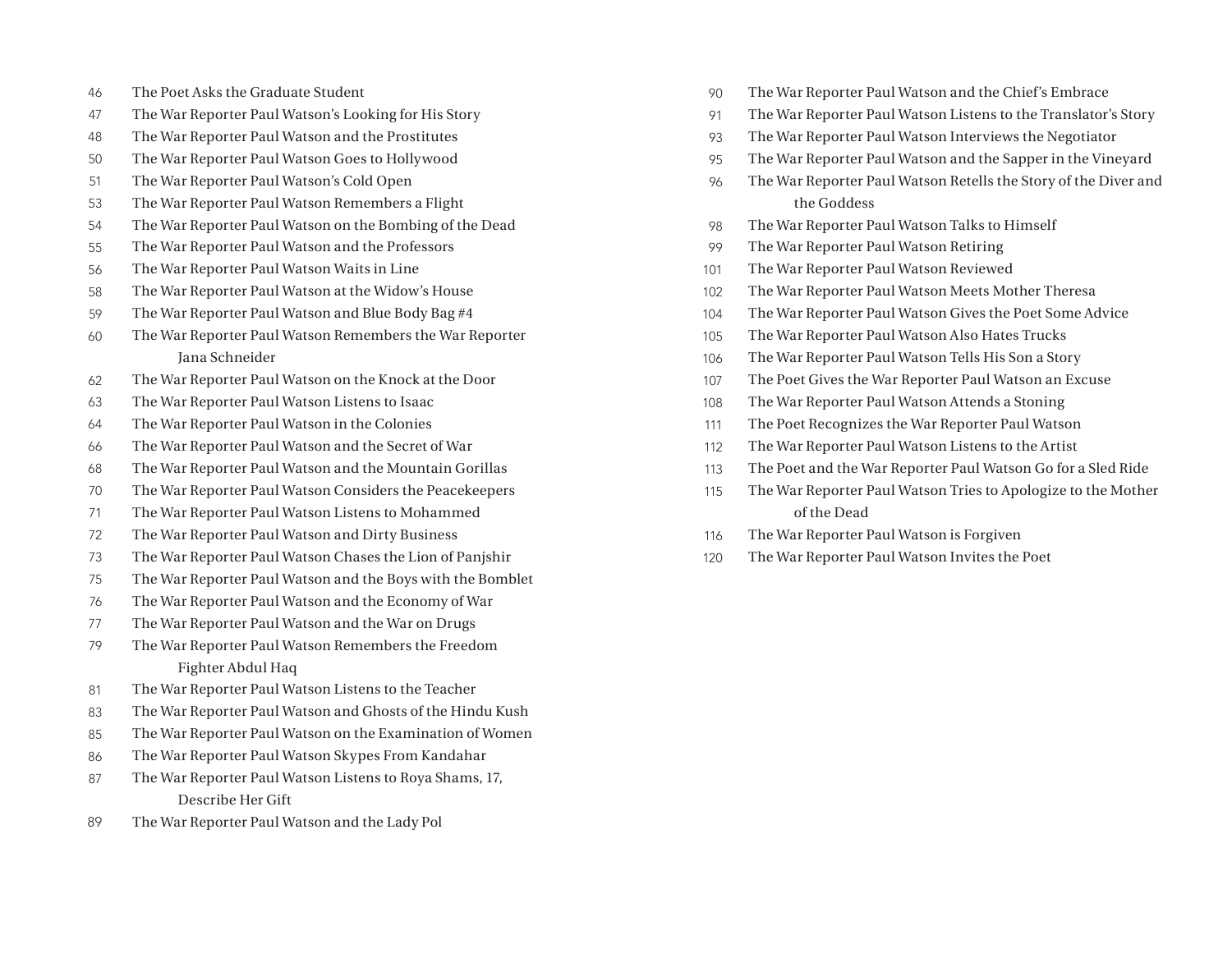- The Poet Asks the Graduate Student 46
- The War Reporter Paul Watson's Looking for His Story 47
- The War Reporter Paul Watson and the Prostitutes 48
- The War Reporter Paul Watson Goes to Hollywood 50
- The War Reporter Paul Watson's Cold Open 51
- The War Reporter Paul Watson Remembers a Flight 53
- The War Reporter Paul Watson on the Bombing of the Dead 54
- The War Reporter Paul Watson and the Professors 55
- The War Reporter Paul Watson Waits in Line 56
- The War Reporter Paul Watson at the Widow's House 58
- The War Reporter Paul Watson and Blue Body Bag #4 59
- The War Reporter Paul Watson Remembers the War Reporter Jana Schneider 60
- The War Reporter Paul Watson on the Knock at the Door 62
- The War Reporter Paul Watson Listens to Isaac 63
- The War Reporter Paul Watson in the Colonies 64
- The War Reporter Paul Watson and the Secret of War 66
- The War Reporter Paul Watson and the Mountain Gorillas 68
- The War Reporter Paul Watson Considers the Peacekeepers 70
- The War Reporter Paul Watson Listens to Mohammed 71
- The War Reporter Paul Watson and Dirty Business 72
- The War Reporter Paul Watson Chases the Lion of Panjshir 73
- The War Reporter Paul Watson and the Boys with the Bomblet 75
- The War Reporter Paul Watson and the Economy of War 76
- The War Reporter Paul Watson and the War on Drugs 77
- The War Reporter Paul Watson Remembers the Freedom Fighter Abdul Haq 79
- The War Reporter Paul Watson Listens to the Teacher 81
- The War Reporter Paul Watson and Ghosts of the Hindu Kush 83
- The War Reporter Paul Watson on the Examination of Women 85
- The War Reporter Paul Watson Skypes From Kandahar 86
- The War Reporter Paul Watson Listens to Roya Shams, 17, Describe Her Gift 87
- The War Reporter Paul Watson and the Lady Pol 89
- The War Reporter Paul Watson and the Chief's Embrace 90
- The War Reporter Paul Watson Listens to the Translator's Story 91
- The War Reporter Paul Watson Interviews the Negotiator 93
- The War Reporter Paul Watson and the Sapper in the Vineyard 95
- The War Reporter Paul Watson Retells the Story of the Diver and the Goddess 96
- The War Reporter Paul Watson Talks to Himself 98
- The War Reporter Paul Watson Retiring 99
- The War Reporter Paul Watson Reviewed 101
- The War Reporter Paul Watson Meets Mother Theresa 102
- The War Reporter Paul Watson Gives the Poet Some Advice 104
- The War Reporter Paul Watson Also Hates Trucks 105
- The War Reporter Paul Watson Tells His Son a Story 106
- The Poet Gives the War Reporter Paul Watson an Excuse 107
- The War Reporter Paul Watson Attends a Stoning 108
- The Poet Recognizes the War Reporter Paul Watson 111
- The War Reporter Paul Watson Listens to the Artist 112
- The Poet and the War Reporter Paul Watson Go for a Sled Ride 113
- The War Reporter Paul Watson Tries to Apologize to the Mother of the Dead 115
- The War Reporter Paul Watson is Forgiven 116
- The War Reporter Paul Watson Invites the Poet 120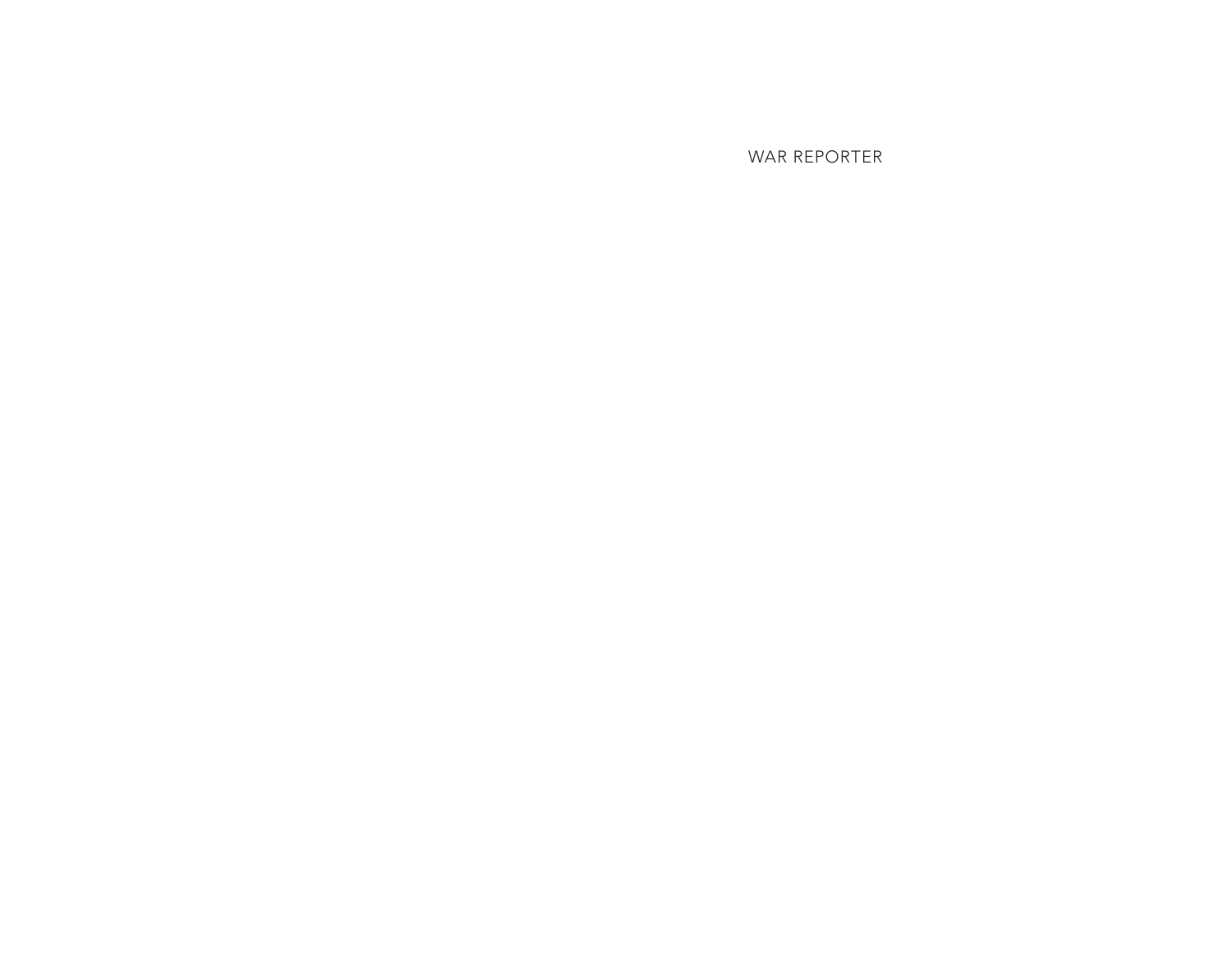WAR REPORTER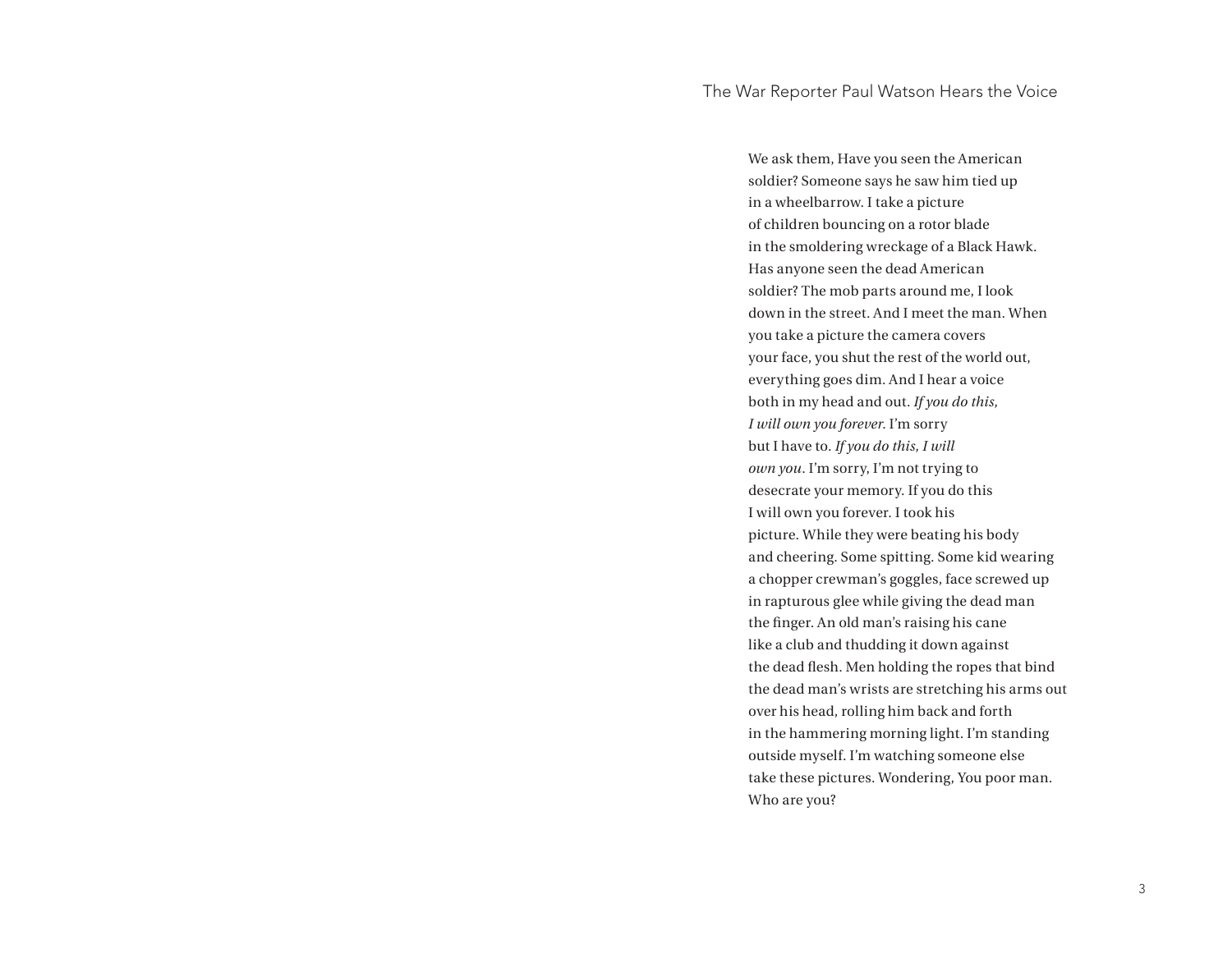We ask them, Have you seen the American soldier? Someone says he saw him tied up in a wheelbarrow. I take a picture of children bouncing on a rotor blade in the smoldering wreckage of a Black Hawk. Has anyone seen the dead American soldier? The mob parts around me, I look down in the street. And I meet the man. When you take a picture the camera covers your face, you shut the rest of the world out, everything goes dim. And I hear a voice both in my head and out. *If you do this, I will own you forever*. I'm sorry but I have to. *If you do this, I will own you*. I'm sorry, I'm not trying to desecrate your memory. If you do this I will own you forever. I took his picture. While they were beating his body and cheering. Some spitting. Some kid wearing a chopper crewman's goggles, face screwed up in rapturous glee while giving the dead man the finger. An old man's raising his cane like a club and thudding it down against the dead flesh. Men holding the ropes that bind the dead man's wrists are stretching his arms out over his head, rolling him back and forth in the hammering morning light. I'm standing outside myself. I'm watching someone else take these pictures. Wondering, You poor man. Who are you?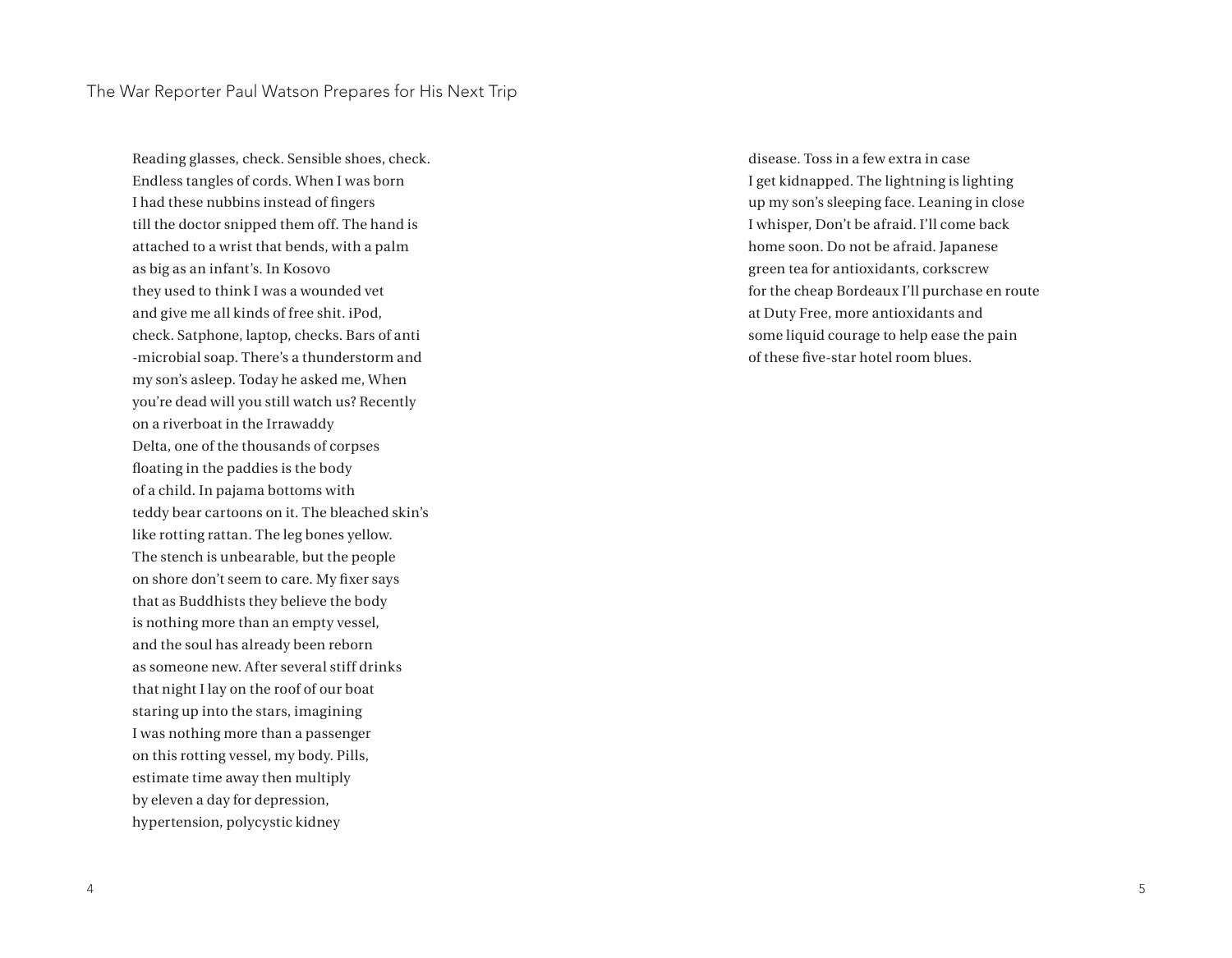Reading glasses, check. Sensible shoes, check. Endless tangles of cords. When I was born I had these nubbins instead of fingers till the doctor snipped them off. The hand is attached to a wrist that bends, with a palm as big as an infant's. In Kosovo they used to think I was a wounded vet and give me all kinds of free shit. iPod, check. Satphone, laptop, checks. Bars of anti -microbial soap. There's a thunderstorm and my son's asleep. Today he asked me, When you're dead will you still watch us? Recently on a riverboat in the Irrawaddy Delta, one of the thousands of corpses floating in the paddies is the body of a child. In pajama bottoms with teddy bear cartoons on it. The bleached skin's like rotting rattan. The leg bones yellow. The stench is unbearable, but the people on shore don't seem to care. My fixer says that as Buddhists they believe the body is nothing more than an empty vessel, and the soul has already been reborn as someone new. After several stiff drinks that night I lay on the roof of our boat staring up into the stars, imagining I was nothing more than a passenger on this rotting vessel, my body. Pills, estimate time away then multiply by eleven a day for depression, hypertension, polycystic kidney

disease. Toss in a few extra in case I get kidnapped. The lightning is lighting up my son's sleeping face. Leaning in close I whisper, Don't be afraid. I'll come back home soon. Do not be afraid. Japanese green tea for antioxidants, corkscrew for the cheap Bordeaux I'll purchase en route at Duty Free, more antioxidants and some liquid courage to help ease the pain of these five-star hotel room blues.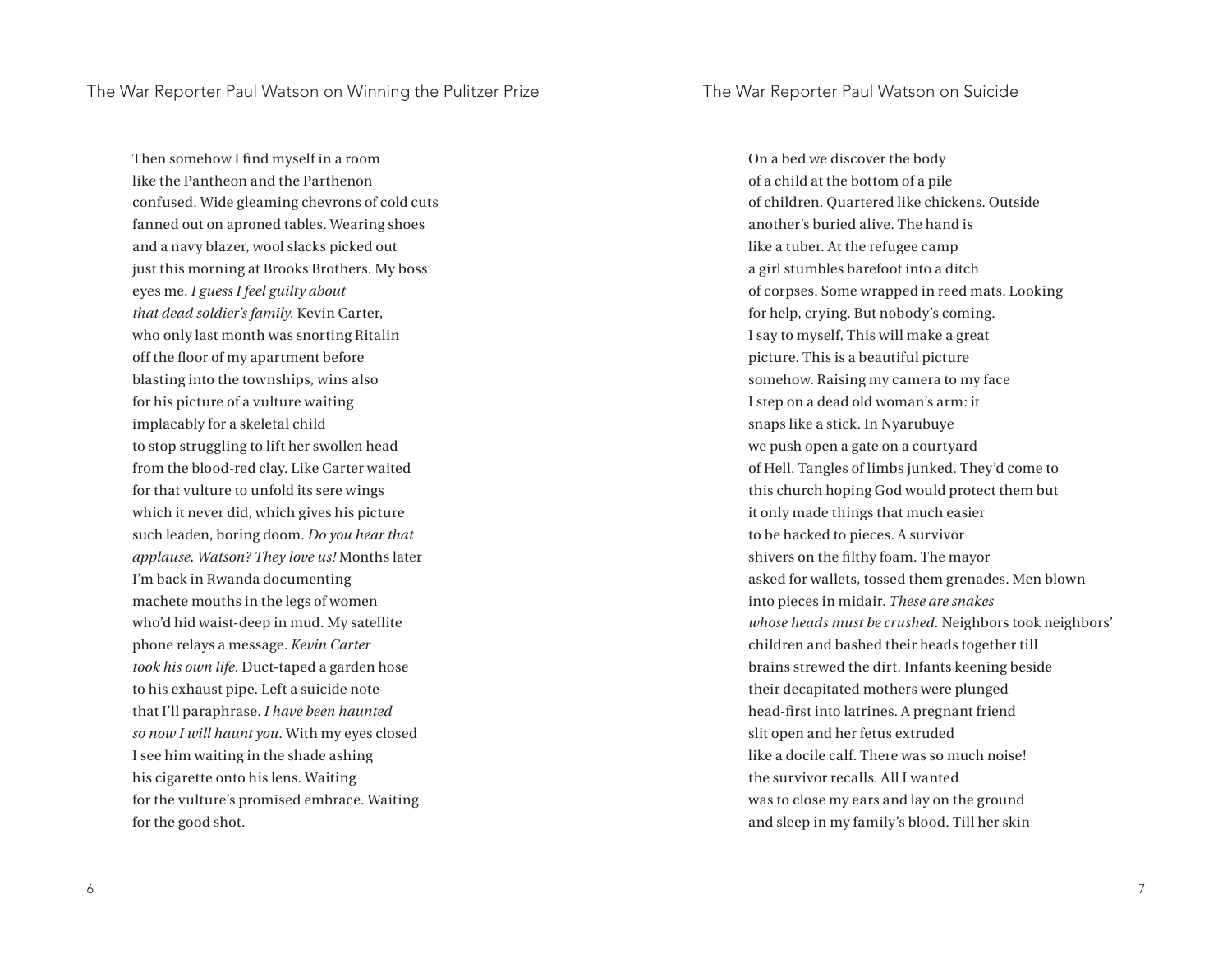Then somehow I find myself in a room like the Pantheon and the Parthenon confused. Wide gleaming chevrons of cold cuts fanned out on aproned tables. Wearing shoes and a navy blazer, wool slacks picked out just this morning at Brooks Brothers. My boss eyes me. *I guess I feel guilty about that dead soldier's family.* Kevin Carter, who only last month was snorting Ritalin off the floor of my apartment before blasting into the townships, wins also for his picture of a vulture waiting implacably for a skeletal child to stop struggling to lift her swollen head from the blood-red clay. Like Carter waited for that vulture to unfold its sere wings which it never did, which gives his picture such leaden, boring doom. *Do you hear that applause, Watson? They love us!* Months later I'm back in Rwanda documenting machete mouths in the legs of women who'd hid waist-deep in mud. My satellite phone relays a message. *Kevin Carter took his own life.* Duct-taped a garden hose to his exhaust pipe. Left a suicide note that I'll paraphrase. *I have been haunted so now I will haunt you.* With my eyes closed I see him waiting in the shade ashing his cigarette onto his lens. Waiting for the vulture's promised embrace. Waiting for the good shot.

On a bed we discover the body of a child at the bottom of a pile of children. Quartered like chickens. Outside another's buried alive. The hand is like a tuber. At the refugee camp a girl stumbles barefoot into a ditch of corpses. Some wrapped in reed mats. Looking for help, crying. But nobody's coming. I say to myself, This will make a great picture. This is a beautiful picture somehow. Raising my camera to my face I step on a dead old woman's arm: it snaps like a stick. In Nyarubuye we push open a gate on a courtyard of Hell. Tangles of limbs junked. They'd come to this church hoping God would protect them but it only made things that much easier to be hacked to pieces. A survivor shivers on the filthy foam. The mayor asked for wallets, tossed them grenades. Men blown into pieces in midair. *These are snakes whose heads must be crushed.* Neighbors took neighbors' children and bashed their heads together till brains strewed the dirt. Infants keening beside their decapitated mothers were plunged head-first into latrines. A pregnant friend slit open and her fetus extruded like a docile calf. There was so much noise! the survivor recalls. All I wanted was to close my ears and lay on the ground and sleep in my family's blood. Till her skin